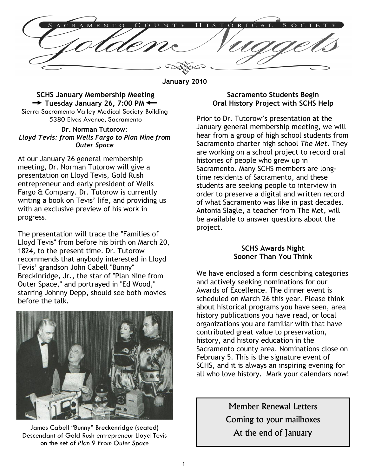C A L

January 2010

## SCHS January Membership Meeting  $\rightarrow$  Tuesday January 26, 7:00 PM  $\leftarrow$

Sierra Sacramento Valley Medical Society Building 5380 Elvas Avenue, Sacramento

### Dr. Norman Tutorow: Lloyd Tevis: from Wells Fargo to Plan Nine from Outer Space

At our January 26 general membership meeting, Dr. Norman Tutorow will give a presentation on Lloyd Tevis, Gold Rush entrepreneur and early president of Wells Fargo & Company. Dr. Tutorow is currently writing a book on Tevis' life, and providing us with an exclusive preview of his work in progress.

The presentation will trace the "Families of Lloyd Tevis" from before his birth on March 20, 1824, to the present time. Dr. Tutorow recommends that anybody interested in Lloyd Tevis' grandson John Cabell "Bunny" Breckinridge, Jr., the star of "Plan Nine from Outer Space," and portrayed in "Ed Wood," starring Johnny Depp, should see both movies before the talk.



James Cabell "Bunny" Breckenridge (seated)<br>scendant of Gold Rush entrepreneur Hoyd Texis **At the end of January** Descendant of Gold Rush entrepreneur Lloyd Tevis on the set of Plan 9 From Outer Space

## Sacramento Students Begin Oral History Project with SCHS Help

Prior to Dr. Tutorow's presentation at the January general membership meeting, we will hear from a group of high school students from Sacramento charter high school The Met. They are working on a school project to record oral histories of people who grew up in Sacramento. Many SCHS members are longtime residents of Sacramento, and these students are seeking people to interview in order to preserve a digital and written record of what Sacramento was like in past decades. Antonia Slagle, a teacher from The Met, will be available to answer questions about the project.

## SCHS Awards Night Sooner Than You Think

We have enclosed a form describing categories and actively seeking nominations for our Awards of Excellence. The dinner event is scheduled on March 26 this year. Please think about historical programs you have seen, area history publications you have read, or local organizations you are familiar with that have contributed great value to preservation, history, and history education in the Sacramento county area. Nominations close on February 5. This is the signature event of SCHS, and it is always an inspiring evening for all who love history. Mark your calendars now!

> Member Renewal Letters Coming to your mailboxes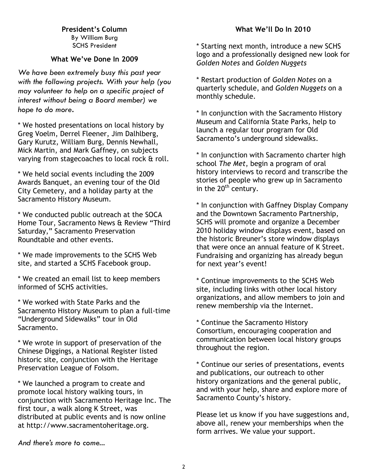President's Column By William Burg SCHS President

## What We've Done In 2009

We have been extremely busy this past year with the following projects. With your help (you may volunteer to help on a specific project of interest without being a Board member) we hope to do more.

\* We hosted presentations on local history by Greg Voelm, Derrel Fleener, Jim Dalhlberg, Gary Kurutz, William Burg, Dennis Newhall, Mick Martin, and Mark Gaffney, on subjects varying from stagecoaches to local rock & roll.

\* We held social events including the 2009 Awards Banquet, an evening tour of the Old City Cemetery, and a holiday party at the Sacramento History Museum.

\* We conducted public outreach at the SOCA Home Tour, Sacramento News & Review "Third Saturday," Sacramento Preservation Roundtable and other events.

\* We made improvements to the SCHS Web site, and started a SCHS Facebook group.

\* We created an email list to keep members informed of SCHS activities.

\* We worked with State Parks and the Sacramento History Museum to plan a full-time "Underground Sidewalks" tour in Old Sacramento.

\* We wrote in support of preservation of the Chinese Diggings, a National Register listed historic site, conjunction with the Heritage Preservation League of Folsom.

\* We launched a program to create and promote local history walking tours, in conjunction with Sacramento Heritage Inc. The first tour, a walk along K Street, was distributed at public events and is now online at http://www.sacramentoheritage.org.

## What We'll Do In 2010

\* Starting next month, introduce a new SCHS logo and a professionally designed new look for Golden Notes and Golden Nuggets

\* Restart production of Golden Notes on a quarterly schedule, and Golden Nuggets on a monthly schedule.

\* In conjunction with the Sacramento History Museum and California State Parks, help to launch a regular tour program for Old Sacramento's underground sidewalks.

\* In conjunction with Sacramento charter high school The Met, begin a program of oral history interviews to record and transcribe the stories of people who grew up in Sacramento in the  $20<sup>th</sup>$  century.

\* In conjunction with Gaffney Display Company and the Downtown Sacramento Partnership, SCHS will promote and organize a December 2010 holiday window displays event, based on the historic Breuner's store window displays that were once an annual feature of K Street. Fundraising and organizing has already begun for next year's event!

\* Continue improvements to the SCHS Web site, including links with other local history organizations, and allow members to join and renew membership via the Internet.

\* Continue the Sacramento History Consortium, encouraging cooperation and communication between local history groups throughout the region.

\* Continue our series of presentations, events and publications, our outreach to other history organizations and the general public, and with your help, share and explore more of Sacramento County's history.

Please let us know if you have suggestions and, above all, renew your memberships when the form arrives. We value your support.

And there's more to come...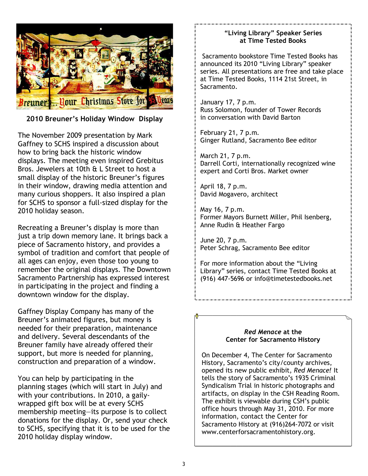

# 2010 Breuner's Holiday Window Display

The November 2009 presentation by Mark Gaffney to SCHS inspired a discussion about how to bring back the historic window displays. The meeting even inspired Grebitus Bros. Jewelers at 10th & L Street to host a small display of the historic Breuner's figures in their window, drawing media attention and many curious shoppers. It also inspired a plan for SCHS to sponsor a full-sized display for the 2010 holiday season.

Recreating a Breuner's display is more than just a trip down memory lane. It brings back a piece of Sacramento history, and provides a symbol of tradition and comfort that people of all ages can enjoy, even those too young to remember the original displays. The Downtown Sacramento Partnership has expressed interest in participating in the project and finding a downtown window for the display.

Gaffney Display Company has many of the Breuner's animated figures, but money is needed for their preparation, maintenance and delivery. Several descendants of the Breuner family have already offered their support, but more is needed for planning, construction and preparation of a window.

You can help by participating in the planning stages (which will start in July) and with your contributions. In 2010, a gailywrapped gift box will be at every SCHS membership meeting—its purpose is to collect donations for the display. Or, send your check to SCHS, specifying that it is to be used for the 2010 holiday display window.

## "Living Library" Speaker Series at Time Tested Books

Sacramento bookstore Time Tested Books has announced its 2010 "Living Library" speaker series. All presentations are free and take place at Time Tested Books, 1114 21st Street, in Sacramento.

January 17, 7 p.m. Russ Solomon, founder of Tower Records in conversation with David Barton

February 21, 7 p.m. Ginger Rutland, Sacramento Bee editor

March 21, 7 p.m. Darrell Corti, internationally recognized wine expert and Corti Bros. Market owner

April 18, 7 p.m. David Mogavero, architect

May 16, 7 p.m. Former Mayors Burnett Miller, Phil Isenberg, Anne Rudin & Heather Fargo

June 20, 7 p.m. Peter Schrag, Sacramento Bee editor

For more information about the "Living Library" series, contact Time Tested Books at (916) 447-5696 or info@timetestedbooks.net

### Red Menace at the Center for Sacramento History

On December 4, The Center for Sacramento History, Sacramento's city/county archives, opened its new public exhibit, Red Menace! It tells the story of Sacramento's 1935 Criminal Syndicalism Trial in historic photographs and artifacts, on display in the CSH Reading Room. The exhibit is viewable during CSH's public office hours through May 31, 2010. For more information, contact the Center for Sacramento History at (916)264-7072 or visit www.centerforsacramentohistory.org.